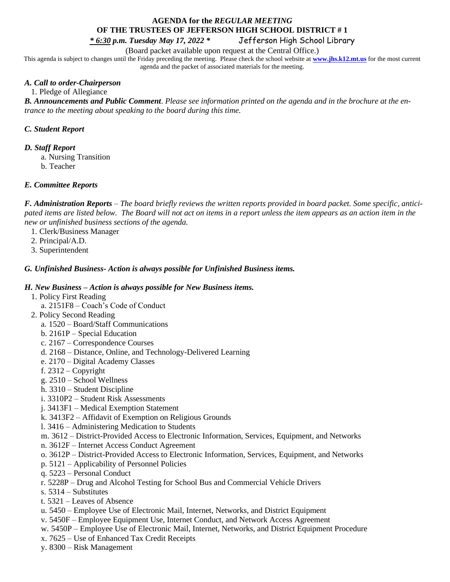# **AGENDA for the** *REGULAR MEETING* **OF THE TRUSTEES OF JEFFERSON HIGH SCHOOL DISTRICT # 1**

*\* 6:30 p.m. Tuesday May 17, 2022 \** Jefferson High School Library

(Board packet available upon request at the Central Office.)

This agenda is subject to changes until the Friday preceding the meeting. Please check the school website at **[www.jhs.k12.mt.us](http://www.jhs.k12.mt.us/)** for the most current agenda and the packet of associated materials for the meeting.

### *A. Call to order-Chairperson*

1. Pledge of Allegiance

*B. Announcements and Public Comment*. *Please see information printed on the agenda and in the brochure at the entrance to the meeting about speaking to the board during this time.* 

# *C. Student Report*

#### *D. Staff Report*

a. Nursing Transition

b. Teacher

## *E. Committee Reports*

*F. Administration Reports* – *The board briefly reviews the written reports provided in board packet. Some specific, anticipated items are listed below. The Board will not act on items in a report unless the item appears as an action item in the new or unfinished business sections of the agenda.*

- 1. Clerk/Business Manager
- 2. Principal/A.D.
- 3. Superintendent

## *G. Unfinished Business- Action is always possible for Unfinished Business items.*

### *H. New Business – Action is always possible for New Business items.*

- 1. Policy First Reading
	- a. 2151F8 Coach's Code of Conduct
- 2. Policy Second Reading
	- a. 1520 Board/Staff Communications
	- b. 2161P Special Education
	- c. 2167 Correspondence Courses
	- d. 2168 Distance, Online, and Technology-Delivered Learning
	- e. 2170 Digital Academy Classes
	- f.  $2312 Copyright$
	- g. 2510 School Wellness
	- h. 3310 Student Discipline
	- i. 3310P2 Student Risk Assessments
	- j. 3413F1 Medical Exemption Statement
	- k. 3413F2 Affidavit of Exemption on Religious Grounds
	- l. 3416 Administering Medication to Students
	- m. 3612 District-Provided Access to Electronic Information, Services, Equipment, and Networks
	- n. 3612F Internet Access Conduct Agreement
	- o. 3612P District-Provided Access to Electronic Information, Services, Equipment, and Networks
	- p. 5121 Applicability of Personnel Policies
	- q. 5223 Personal Conduct
	- r. 5228P Drug and Alcohol Testing for School Bus and Commercial Vehicle Drivers
	- s. 5314 Substitutes
	- t. 5321 Leaves of Absence
	- u. 5450 Employee Use of Electronic Mail, Internet, Networks, and District Equipment
	- v. 5450F Employee Equipment Use, Internet Conduct, and Network Access Agreement
	- w. 5450P Employee Use of Electronic Mail, Internet, Networks, and District Equipment Procedure
	- x. 7625 Use of Enhanced Tax Credit Receipts
	- y. 8300 Risk Management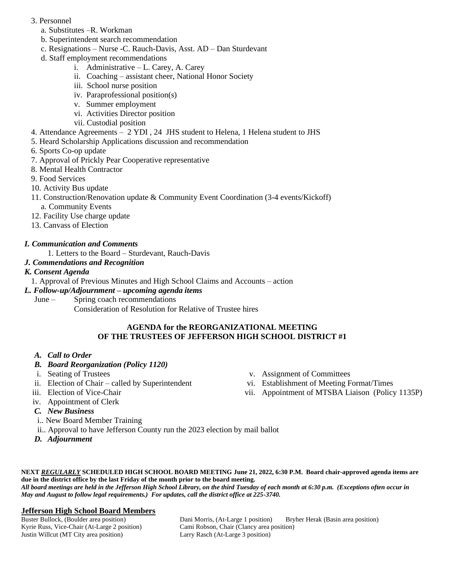- 3. Personnel
	- a. Substitutes –R. Workman
	- b. Superintendent search recommendation
	- c. Resignations Nurse -C. Rauch-Davis, Asst. AD Dan Sturdevant
	- d. Staff employment recommendations
		- i. Administrative L. Carey, A. Carey
		- ii. Coaching assistant cheer, National Honor Society
		- iii. School nurse position
		- iv. Paraprofessional position(s)
		- v. Summer employment
		- vi. Activities Director position
		- vii. Custodial position
- 4. Attendance Agreements 2 YDI , 24 JHS student to Helena, 1 Helena student to JHS
- 5. Heard Scholarship Applications discussion and recommendation
- 6. Sports Co-op update
- 7. Approval of Prickly Pear Cooperative representative
- 8. Mental Health Contractor
- 9. Food Services
- 10. Activity Bus update
- 11. Construction/Renovation update & Community Event Coordination (3-4 events/Kickoff)
	- a. Community Events
- 12. Facility Use charge update
- 13. Canvass of Election

# *I. Communication and Comments*

1. Letters to the Board – Sturdevant, Rauch-Davis

*J. Commendations and Recognition*

# *K. Consent Agenda*

1. Approval of Previous Minutes and High School Claims and Accounts – action

- *L. Follow-up/Adjournment – upcoming agenda items*
	- June Spring coach recommendations
		- Consideration of Resolution for Relative of Trustee hires

## **AGENDA for the REORGANIZATIONAL MEETING OF THE TRUSTEES OF JEFFERSON HIGH SCHOOL DISTRICT #1**

# *A. Call to Order*

- *B. Board Reorganization (Policy 1120)*
- i. Seating of Trustees
- ii. Election of Chair called by Superintendent
- iii. Election of Vice-Chair
- iv. Appointment of Clerk
- *C. New Business*
- i.. New Board Member Training
- ii.. Approval to have Jefferson County run the 2023 election by mail ballot
- *D. Adjournment*
- v. Assignment of Committees
- vi. Establishment of Meeting Format/Times
- vii. Appointment of MTSBA Liaison (Policy 1135P)

**NEXT** *REGULARLY* **SCHEDULED HIGH SCHOOL BOARD MEETING June 21, 2022, 6:30 P.M. Board chair-approved agenda items are due in the district office by the last Friday of the month prior to the board meeting.** 

*All board meetings are held in the Jefferson High School Library, on the third Tuesday of each month at 6:30 p.m. (Exceptions often occur in May and August to follow legal requirements.) For updates, call the district office at 225-3740.*

#### **Jefferson High School Board Members**

Kyrie Russ, Vice-Chair (At-Large 2 position) Cami Robson, Chair (Clancy area position) Justin Willcut (MT City area position) Larry Rasch (At-Large 3 position)

Buster Bullock, (Boulder area position) Dani Morris, (At-Large 1 position) Bryher Herak (Basin area position)